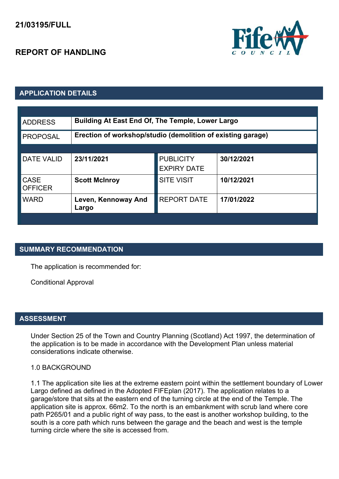# **REPORT OF HANDLING**



# **APPLICATION DETAILS**

| <b>ADDRESS</b>                | Building At East End Of, The Temple, Lower Largo            |                                        |            |
|-------------------------------|-------------------------------------------------------------|----------------------------------------|------------|
| <b>PROPOSAL</b>               | Erection of workshop/studio (demolition of existing garage) |                                        |            |
|                               |                                                             |                                        |            |
| <b>DATE VALID</b>             | 23/11/2021                                                  | <b>PUBLICITY</b><br><b>EXPIRY DATE</b> | 30/12/2021 |
| <b>CASE</b><br><b>OFFICER</b> | <b>Scott McInroy</b>                                        | <b>SITE VISIT</b>                      | 10/12/2021 |
| <b>WARD</b>                   | Leven, Kennoway And<br>Largo                                | <b>REPORT DATE</b>                     | 17/01/2022 |
|                               |                                                             |                                        |            |

# **SUMMARY RECOMMENDATION**

The application is recommended for:

Conditional Approval

#### **ASSESSMENT**

Under Section 25 of the Town and Country Planning (Scotland) Act 1997, the determination of the application is to be made in accordance with the Development Plan unless material considerations indicate otherwise.

#### 1.0 BACKGROUND

1.1 The application site lies at the extreme eastern point within the settlement boundary of Lower Largo defined as defined in the Adopted FIFEplan (2017). The application relates to a garage/store that sits at the eastern end of the turning circle at the end of the Temple. The application site is approx. 66m2. To the north is an embankment with scrub land where core path P265/01 and a public right of way pass, to the east is another workshop building, to the south is a core path which runs between the garage and the beach and west is the temple turning circle where the site is accessed from.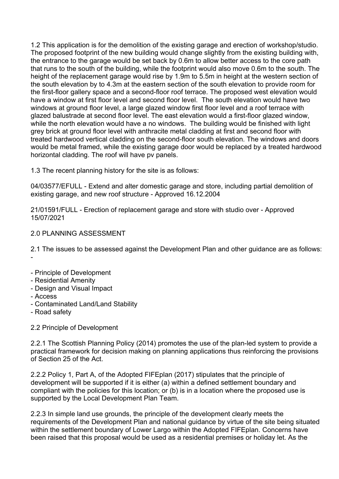1.2 This application is for the demolition of the existing garage and erection of workshop/studio. The proposed footprint of the new building would change slightly from the existing building with, the entrance to the garage would be set back by 0.6m to allow better access to the core path that runs to the south of the building, while the footprint would also move 0.6m to the south. The height of the replacement garage would rise by 1.9m to 5.5m in height at the western section of the south elevation by to 4.3m at the eastern section of the south elevation to provide room for the first-floor gallery space and a second-floor roof terrace. The proposed west elevation would have a window at first floor level and second floor level. The south elevation would have two windows at ground floor level, a large glazed window first floor level and a roof terrace with glazed balustrade at second floor level. The east elevation would a first-floor glazed window, while the north elevation would have a no windows. The building would be finished with light grey brick at ground floor level with anthracite metal cladding at first and second floor with treated hardwood vertical cladding on the second-floor south elevation. The windows and doors would be metal framed, while the existing garage door would be replaced by a treated hardwood horizontal cladding. The roof will have pv panels.

1.3 The recent planning history for the site is as follows:

04/03577/EFULL - Extend and alter domestic garage and store, including partial demolition of existing garage, and new roof structure - Approved 16.12.2004

21/01591/FULL - Erection of replacement garage and store with studio over - Approved 15/07/2021

# 2.0 PLANNING ASSESSMENT

2.1 The issues to be assessed against the Development Plan and other guidance are as follows: -

- Principle of Development
- Residential Amenity
- Design and Visual Impact
- Access
- Contaminated Land/Land Stability
- Road safety

#### 2.2 Principle of Development

2.2.1 The Scottish Planning Policy (2014) promotes the use of the plan-led system to provide a practical framework for decision making on planning applications thus reinforcing the provisions of Section 25 of the Act.

2.2.2 Policy 1, Part A, of the Adopted FIFEplan (2017) stipulates that the principle of development will be supported if it is either (a) within a defined settlement boundary and compliant with the policies for this location; or (b) is in a location where the proposed use is supported by the Local Development Plan Team.

2.2.3 In simple land use grounds, the principle of the development clearly meets the requirements of the Development Plan and national guidance by virtue of the site being situated within the settlement boundary of Lower Largo within the Adopted FIFEplan. Concerns have been raised that this proposal would be used as a residential premises or holiday let. As the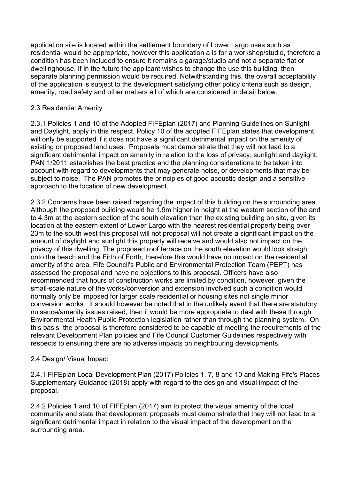application site is located within the settlement boundary of Lower Largo uses such as residential would be appropriate, however this application a is for a workshop/studio, therefore a condition has been included to ensure it remains a garage/studio and not a separate flat or dwellinghouse. If in the future the applicant wishes to change the use this building, then separate planning permission would be required. Notwithstanding this, the overall acceptability of the application is subject to the development satisfying other policy criteria such as design, amenity, road safety and other matters all of which are considered in detail below.

# 2.3 Residential Amenity

2.3.1 Policies 1 and 10 of the Adopted FIFEplan (2017) and Planning Guidelines on Sunlight and Daylight, apply in this respect. Policy 10 of the adopted FIFEplan states that development will only be supported if it does not have a significant detrimental impact on the amenity of existing or proposed land uses. Proposals must demonstrate that they will not lead to a significant detrimental impact on amenity in relation to the loss of privacy, sunlight and daylight. PAN 1/2011 establishes the best practice and the planning considerations to be taken into account with regard to developments that may generate noise, or developments that may be subject to noise. The PAN promotes the principles of good acoustic design and a sensitive approach to the location of new development.

2.3.2 Concerns have been raised regarding the impact of this building on the surrounding area. Although the proposed building would be 1.9m higher in height at the western section of the and to 4.3m at the eastern section of the south elevation than the existing building on site, given its location at the eastern extent of Lower Largo with the nearest residential property being over 23m to the south west this proposal will not proposal will not create a significant impact on the amount of daylight and sunlight this property will receive and would also not impact on the privacy of this dwelling. The proposed roof terrace on the south elevation would look straight onto the beach and the Firth of Forth, therefore this would have no impact on the residential amenity of the area. Fife Council's Public and Environmental Protection Team (PEPT) has assessed the proposal and have no objections to this proposal. Officers have also recommended that hours of construction works are limited by condition, however, given the small-scale nature of the works/conversion and extension involved such a condition would normally only be imposed for larger scale residential or housing sites not single minor conversion works. It should however be noted that in the unlikely event that there are statutory nuisance/amenity issues raised, then it would be more appropriate to deal with these through Environmental Health Public Protection legislation rather than through the planning system. On this basis, the proposal is therefore considered to be capable of meeting the requirements of the relevant Development Plan policies and Fife Council Customer Guidelines respectively with respects to ensuring there are no adverse impacts on neighbouring developments.

# 2.4 Design/ Visual Impact

2.4.1 FIFEplan Local Development Plan (2017) Policies 1, 7, 8 and 10 and Making Fife's Places Supplementary Guidance (2018) apply with regard to the design and visual impact of the proposal.

2.4.2 Policies 1 and 10 of FIFEplan (2017) aim to protect the visual amenity of the local community and state that development proposals must demonstrate that they will not lead to a significant detrimental impact in relation to the visual impact of the development on the surrounding area.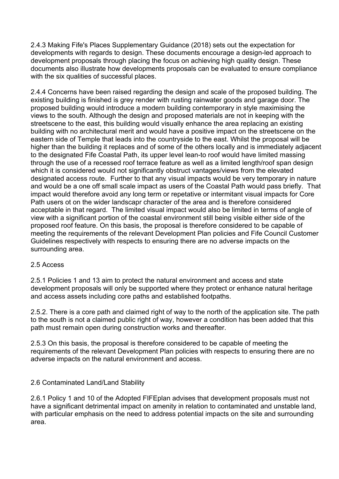2.4.3 Making Fife's Places Supplementary Guidance (2018) sets out the expectation for developments with regards to design. These documents encourage a design-led approach to development proposals through placing the focus on achieving high quality design. These documents also illustrate how developments proposals can be evaluated to ensure compliance with the six qualities of successful places.

2.4.4 Concerns have been raised regarding the design and scale of the proposed building. The existing building is finished is grey render with rusting rainwater goods and garage door. The proposed building would introduce a modern building contemporary in style maximising the views to the south. Although the design and proposed materials are not in keeping with the streetscene to the east, this building would visually enhance the area replacing an existing building with no architectural merit and would have a positive impact on the streetscene on the eastern side of Temple that leads into the countryside to the east. Whilst the proposal will be higher than the building it replaces and of some of the others locally and is immediately adjacent to the designated Fife Coastal Path, its upper level lean-to roof would have limited massing through the use of a recessed roof terrace feature as well as a limited length/roof span design which it is considered would not significantly obstruct vantages/views from the elevated designated access route. Further to that any visual impacts would be very temporary in nature and would be a one off small scale impact as users of the Coastal Path would pass briefly. That impact would therefore avoid any long term or repetative or intermitant visual impacts for Core Path users ot on the wider landscapr character of the area and is therefore considered acceptable in that regard. The limited visual impact would also be limited in terms of angle of view with a significant portion of the coastal environment still being visible either side of the proposed roof feature. On this basis, the proposal is therefore considered to be capable of meeting the requirements of the relevant Development Plan policies and Fife Council Customer Guidelines respectively with respects to ensuring there are no adverse impacts on the surrounding area.

#### 2.5 Access

2.5.1 Policies 1 and 13 aim to protect the natural environment and access and state development proposals will only be supported where they protect or enhance natural heritage and access assets including core paths and established footpaths.

2.5.2. There is a core path and claimed right of way to the north of the application site. The path to the south is not a claimed public right of way, however a condition has been added that this path must remain open during construction works and thereafter.

2.5.3 On this basis, the proposal is therefore considered to be capable of meeting the requirements of the relevant Development Plan policies with respects to ensuring there are no adverse impacts on the natural environment and access.

# 2.6 Contaminated Land/Land Stability

2.6.1 Policy 1 and 10 of the Adopted FIFEplan advises that development proposals must not have a significant detrimental impact on amenity in relation to contaminated and unstable land, with particular emphasis on the need to address potential impacts on the site and surrounding area.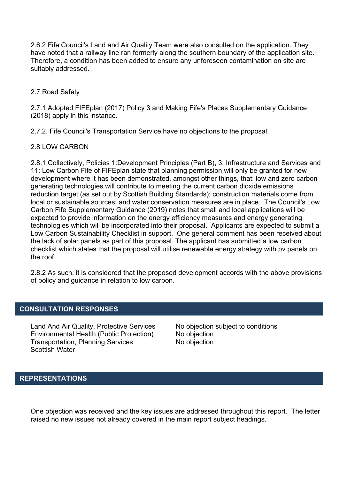2.6.2 Fife Council's Land and Air Quality Team were also consulted on the application. They have noted that a railway line ran formerly along the southern boundary of the application site. Therefore, a condition has been added to ensure any unforeseen contamination on site are suitably addressed.

# 2.7 Road Safety

2.7.1 Adopted FIFEplan (2017) Policy 3 and Making Fife's Places Supplementary Guidance (2018) apply in this instance.

2.7.2. Fife Council's Transportation Service have no objections to the proposal.

# 2.8 LOW CARBON

2.8.1 Collectively, Policies 1:Development Principles (Part B), 3: Infrastructure and Services and 11: Low Carbon Fife of FIFEplan state that planning permission will only be granted for new development where it has been demonstrated, amongst other things, that: low and zero carbon generating technologies will contribute to meeting the current carbon dioxide emissions reduction target (as set out by Scottish Building Standards); construction materials come from local or sustainable sources; and water conservation measures are in place. The Council's Low Carbon Fife Supplementary Guidance (2019) notes that small and local applications will be expected to provide information on the energy efficiency measures and energy generating technologies which will be incorporated into their proposal. Applicants are expected to submit a Low Carbon Sustainability Checklist in support. One general comment has been received about the lack of solar panels as part of this proposal. The applicant has submitted a low carbon checklist which states that the proposal will utilise renewable energy strategy with pv panels on the roof.

2.8.2 As such, it is considered that the proposed development accords with the above provisions of policy and guidance in relation to low carbon.

#### **CONSULTATION RESPONSES**

Land And Air Quality, Protective Services No objection subject to conditions Environmental Health (Public Protection) No objection Transportation, Planning Services No objection Scottish Water

# **REPRESENTATIONS**

One objection was received and the key issues are addressed throughout this report. The letter raised no new issues not already covered in the main report subject headings.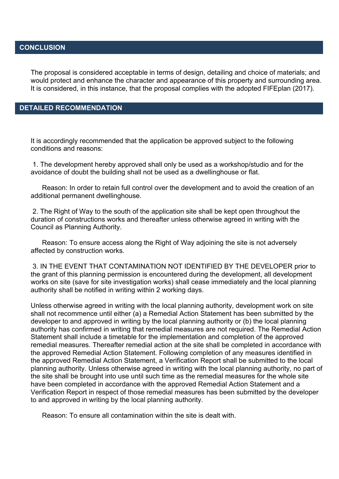# **CONCLUSION**

The proposal is considered acceptable in terms of design, detailing and choice of materials; and would protect and enhance the character and appearance of this property and surrounding area. It is considered, in this instance, that the proposal complies with the adopted FIFEplan (2017).

#### **DETAILED RECOMMENDATION**

It is accordingly recommended that the application be approved subject to the following conditions and reasons:

1. The development hereby approved shall only be used as a workshop/studio and for the avoidance of doubt the building shall not be used as a dwellinghouse or flat.

 Reason: In order to retain full control over the development and to avoid the creation of an additional permanent dwellinghouse.

2. The Right of Way to the south of the application site shall be kept open throughout the duration of constructions works and thereafter unless otherwise agreed in writing with the Council as Planning Authority.

 Reason: To ensure access along the Right of Way adjoining the site is not adversely affected by construction works.

3. IN THE EVENT THAT CONTAMINATION NOT IDENTIFIED BY THE DEVELOPER prior to the grant of this planning permission is encountered during the development, all development works on site (save for site investigation works) shall cease immediately and the local planning authority shall be notified in writing within 2 working days.

Unless otherwise agreed in writing with the local planning authority, development work on site shall not recommence until either (a) a Remedial Action Statement has been submitted by the developer to and approved in writing by the local planning authority or (b) the local planning authority has confirmed in writing that remedial measures are not required. The Remedial Action Statement shall include a timetable for the implementation and completion of the approved remedial measures. Thereafter remedial action at the site shall be completed in accordance with the approved Remedial Action Statement. Following completion of any measures identified in the approved Remedial Action Statement, a Verification Report shall be submitted to the local planning authority. Unless otherwise agreed in writing with the local planning authority, no part of the site shall be brought into use until such time as the remedial measures for the whole site have been completed in accordance with the approved Remedial Action Statement and a Verification Report in respect of those remedial measures has been submitted by the developer to and approved in writing by the local planning authority.

Reason: To ensure all contamination within the site is dealt with.